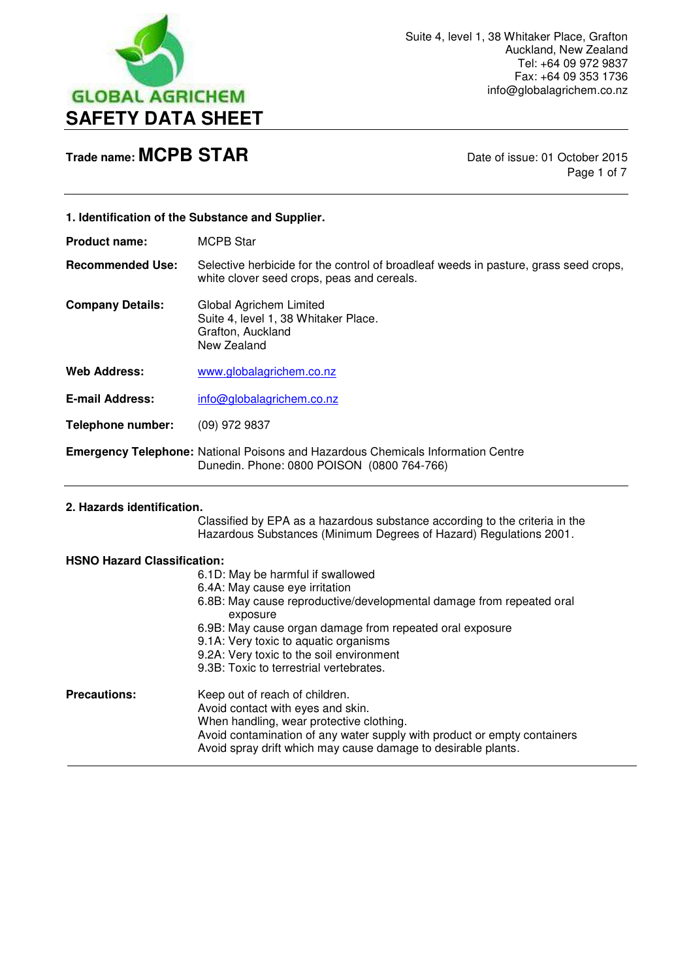

Page 1 of 7

### **1. Identification of the Substance and Supplier.**

**Product name:** MCPB Star

**Recommended Use:** Selective herbicide for the control of broadleaf weeds in pasture, grass seed crops, white clover seed crops, peas and cereals.

**Company Details:** Global Agrichem Limited Suite 4, level 1, 38 Whitaker Place. Grafton, Auckland New Zealand

**Web Address:** [www.globalagrichem.co.nz](http://www.globalagrichem.co.nz/)

E-mail Address: info@globalagrichem.co.nz

**Telephone number:** (09) 972 9837

**Emergency Telephone:** National Poisons and Hazardous Chemicals Information Centre Dunedin. Phone: 0800 POISON (0800 764-766)

### **2. Hazards identification.**

 Classified by EPA as a hazardous substance according to the criteria in the Hazardous Substances (Minimum Degrees of Hazard) Regulations 2001.

### **HSNO Hazard Classification:**

|                     | 6.1D: May be harmful if swallowed<br>6.4A: May cause eye irritation<br>6.8B: May cause reproductive/developmental damage from repeated oral<br>exposure<br>6.9B: May cause organ damage from repeated oral exposure<br>9.1A: Very toxic to aquatic organisms<br>9.2A: Very toxic to the soil environment<br>9.3B: Toxic to terrestrial vertebrates. |
|---------------------|-----------------------------------------------------------------------------------------------------------------------------------------------------------------------------------------------------------------------------------------------------------------------------------------------------------------------------------------------------|
| <b>Precautions:</b> | Keep out of reach of children.<br>Avoid contact with eyes and skin.<br>When handling, wear protective clothing.<br>Avoid contamination of any water supply with product or empty containers<br>Avoid spray drift which may cause damage to desirable plants.                                                                                        |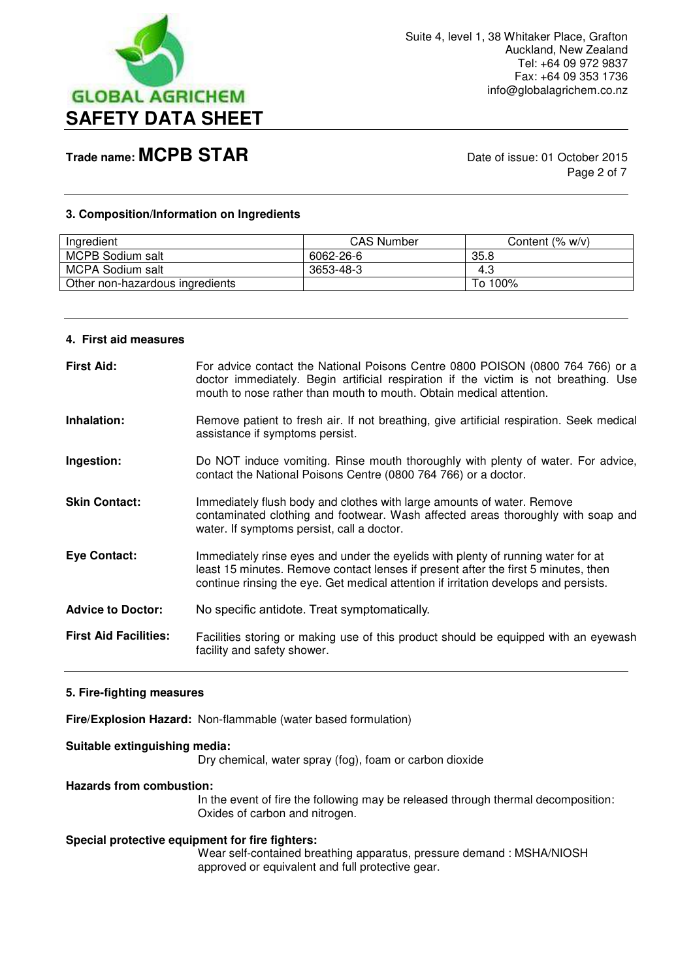

Page 2 of 7

### **3. Composition/Information on Ingredients**

| Ingredient                      | <b>CAS Number</b> | Content $(% w/v)$ |
|---------------------------------|-------------------|-------------------|
| MCPB Sodium salt                | 6062-26-6         | 35.8              |
| MCPA Sodium salt                | 3653-48-3         | 4.3               |
| Other non-hazardous ingredients |                   | To 100%           |

#### **4. First aid measures**

| <b>First Aid:</b>            | For advice contact the National Poisons Centre 0800 POISON (0800 764 766) or a<br>doctor immediately. Begin artificial respiration if the victim is not breathing. Use<br>mouth to nose rather than mouth to mouth. Obtain medical attention.                  |
|------------------------------|----------------------------------------------------------------------------------------------------------------------------------------------------------------------------------------------------------------------------------------------------------------|
| Inhalation:                  | Remove patient to fresh air. If not breathing, give artificial respiration. Seek medical<br>assistance if symptoms persist.                                                                                                                                    |
| Ingestion:                   | Do NOT induce vomiting. Rinse mouth thoroughly with plenty of water. For advice,<br>contact the National Poisons Centre (0800 764 766) or a doctor.                                                                                                            |
| <b>Skin Contact:</b>         | Immediately flush body and clothes with large amounts of water. Remove<br>contaminated clothing and footwear. Wash affected areas thoroughly with soap and<br>water. If symptoms persist, call a doctor.                                                       |
| <b>Eye Contact:</b>          | Immediately rinse eyes and under the eyelids with plenty of running water for at<br>least 15 minutes. Remove contact lenses if present after the first 5 minutes, then<br>continue rinsing the eye. Get medical attention if irritation develops and persists. |
| <b>Advice to Doctor:</b>     | No specific antidote. Treat symptomatically.                                                                                                                                                                                                                   |
| <b>First Aid Facilities:</b> | Facilities storing or making use of this product should be equipped with an eyewash<br>facility and safety shower.                                                                                                                                             |

### **5. Fire-fighting measures**

**Fire/Explosion Hazard:** Non-flammable (water based formulation)

### **Suitable extinguishing media:**

Dry chemical, water spray (fog), foam or carbon dioxide

#### **Hazards from combustion:**

In the event of fire the following may be released through thermal decomposition: Oxides of carbon and nitrogen.

### **Special protective equipment for fire fighters:**

Wear self-contained breathing apparatus, pressure demand : MSHA/NIOSH approved or equivalent and full protective gear.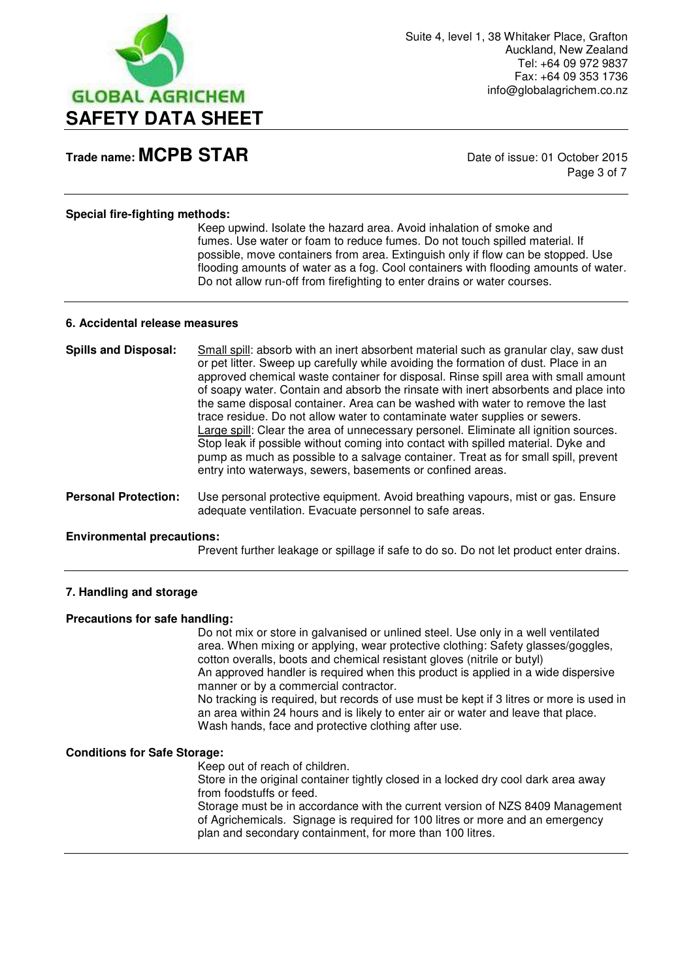

Page 3 of 7

### **Special fire-fighting methods:**

Keep upwind. Isolate the hazard area. Avoid inhalation of smoke and fumes. Use water or foam to reduce fumes. Do not touch spilled material. If possible, move containers from area. Extinguish only if flow can be stopped. Use flooding amounts of water as a fog. Cool containers with flooding amounts of water. Do not allow run-off from firefighting to enter drains or water courses.

#### **6. Accidental release measures**

| <b>Spills and Disposal:</b> | Small spill: absorb with an inert absorbent material such as granular clay, saw dust<br>or pet litter. Sweep up carefully while avoiding the formation of dust. Place in an<br>approved chemical waste container for disposal. Rinse spill area with small amount<br>of soapy water. Contain and absorb the rinsate with inert absorbents and place into<br>the same disposal container. Area can be washed with water to remove the last<br>trace residue. Do not allow water to contaminate water supplies or sewers.<br>Large spill: Clear the area of unnecessary personel. Eliminate all ignition sources.<br>Stop leak if possible without coming into contact with spilled material. Dyke and<br>pump as much as possible to a salvage container. Treat as for small spill, prevent |
|-----------------------------|--------------------------------------------------------------------------------------------------------------------------------------------------------------------------------------------------------------------------------------------------------------------------------------------------------------------------------------------------------------------------------------------------------------------------------------------------------------------------------------------------------------------------------------------------------------------------------------------------------------------------------------------------------------------------------------------------------------------------------------------------------------------------------------------|
|                             | entry into waterways, sewers, basements or confined areas.                                                                                                                                                                                                                                                                                                                                                                                                                                                                                                                                                                                                                                                                                                                                 |

**Personal Protection:** Use personal protective equipment. Avoid breathing vapours, mist or gas. Ensure adequate ventilation. Evacuate personnel to safe areas.

### **Environmental precautions:**

Prevent further leakage or spillage if safe to do so. Do not let product enter drains.

### **7. Handling and storage**

### **Precautions for safe handling:**

Do not mix or store in galvanised or unlined steel. Use only in a well ventilated area. When mixing or applying, wear protective clothing: Safety glasses/goggles, cotton overalls, boots and chemical resistant gloves (nitrile or butyl) An approved handler is required when this product is applied in a wide dispersive manner or by a commercial contractor. No tracking is required, but records of use must be kept if 3 litres or more is used in

an area within 24 hours and is likely to enter air or water and leave that place. Wash hands, face and protective clothing after use.

### **Conditions for Safe Storage:**

Keep out of reach of children.

 Store in the original container tightly closed in a locked dry cool dark area away from foodstuffs or feed.

 Storage must be in accordance with the current version of NZS 8409 Management of Agrichemicals. Signage is required for 100 litres or more and an emergency plan and secondary containment, for more than 100 litres.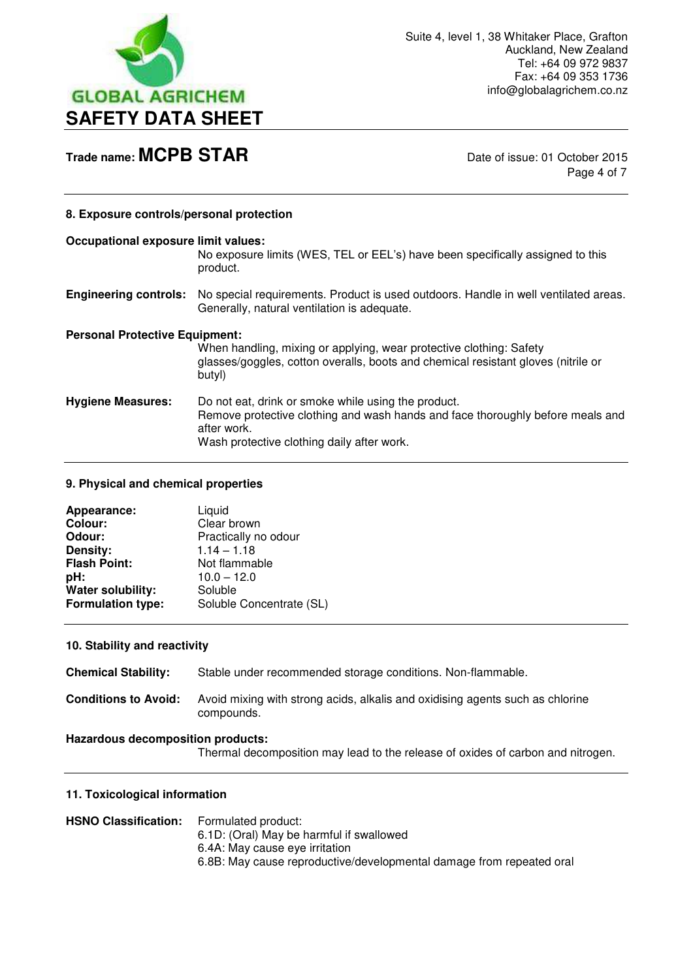

Page 4 of 7

### **8. Exposure controls/personal protection**

### **Occupational exposure limit values:**

No exposure limits (WES, TEL or EEL's) have been specifically assigned to this product.

**Engineering controls:** No special requirements. Product is used outdoors. Handle in well ventilated areas. Generally, natural ventilation is adequate.

#### **Personal Protective Equipment:**

When handling, mixing or applying, wear protective clothing: Safety glasses/goggles, cotton overalls, boots and chemical resistant gloves (nitrile or butyl) **Hygiene Measures:** Do not eat, drink or smoke while using the product. Remove protective clothing and wash hands and face thoroughly before meals and

after work.

Wash protective clothing daily after work.

### **9. Physical and chemical properties**

| Appearance:              | Liquid                   |
|--------------------------|--------------------------|
| Colour:                  | Clear brown              |
| Odour:                   | Practically no odour     |
| Density:                 | $1.14 - 1.18$            |
| <b>Flash Point:</b>      | Not flammable            |
| pH:                      | $10.0 - 12.0$            |
| Water solubility:        | Soluble                  |
| <b>Formulation type:</b> | Soluble Concentrate (SL) |

### **10. Stability and reactivity**

**Chemical Stability:** Stable under recommended storage conditions. Non-flammable. **Conditions to Avoid:** Avoid mixing with strong acids, alkalis and oxidising agents such as chlorine compounds.

### **Hazardous decomposition products:**

Thermal decomposition may lead to the release of oxides of carbon and nitrogen.

### **11. Toxicological information**

| <b>HSNO Classification:</b> | Formulated product:                                                  |
|-----------------------------|----------------------------------------------------------------------|
|                             | 6.1D: (Oral) May be harmful if swallowed                             |
|                             | 6.4A: May cause eye irritation                                       |
|                             | 6.8B: May cause reproductive/developmental damage from repeated oral |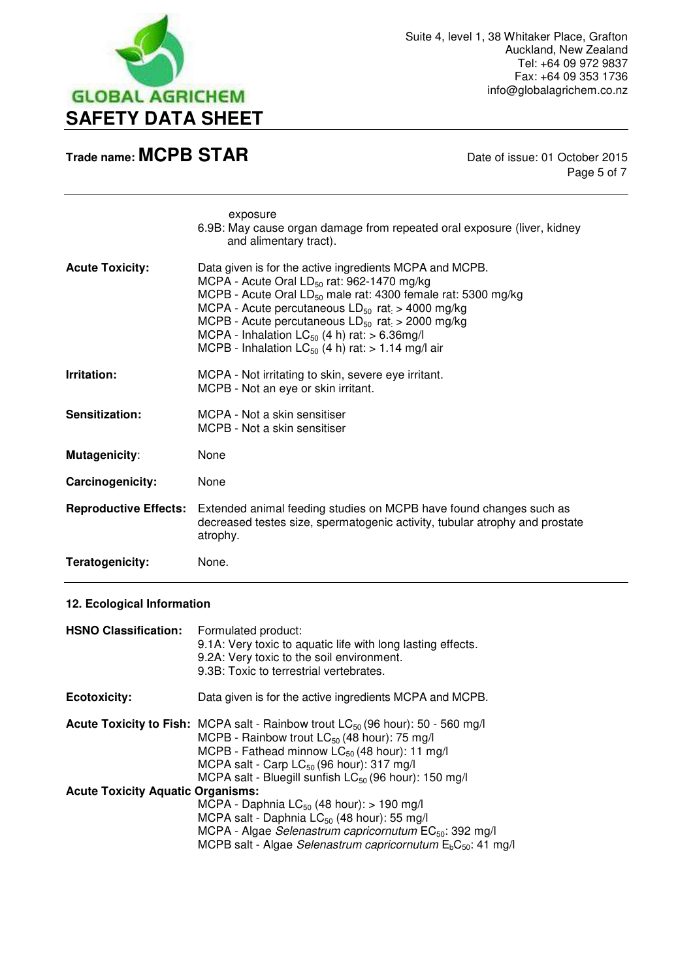

Page 5 of 7

|                              | exposure<br>6.9B: May cause organ damage from repeated oral exposure (liver, kidney<br>and alimentary tract).                                                                                                                                                                                                                                                                                                             |
|------------------------------|---------------------------------------------------------------------------------------------------------------------------------------------------------------------------------------------------------------------------------------------------------------------------------------------------------------------------------------------------------------------------------------------------------------------------|
| <b>Acute Toxicity:</b>       | Data given is for the active ingredients MCPA and MCPB.<br>MCPA - Acute Oral LD <sub>50</sub> rat: 962-1470 mg/kg<br>MCPB - Acute Oral $LD_{50}$ male rat: 4300 female rat: 5300 mg/kg<br>MCPA - Acute percutaneous $LD_{50}$ rat $> 4000$ mg/kg<br>MCPB - Acute percutaneous $LD_{50}$ rat $> 2000$ mg/kg<br>MCPA - Inhalation $LC_{50}$ (4 h) rat: > 6.36mg/l<br>MCPB - Inhalation $LC_{50}$ (4 h) rat: > 1.14 mg/l air |
| Irritation:                  | MCPA - Not irritating to skin, severe eye irritant.<br>MCPB - Not an eye or skin irritant.                                                                                                                                                                                                                                                                                                                                |
| Sensitization:               | MCPA - Not a skin sensitiser<br>MCPB - Not a skin sensitiser                                                                                                                                                                                                                                                                                                                                                              |
| <b>Mutagenicity:</b>         | None                                                                                                                                                                                                                                                                                                                                                                                                                      |
| Carcinogenicity:             | None                                                                                                                                                                                                                                                                                                                                                                                                                      |
| <b>Reproductive Effects:</b> | Extended animal feeding studies on MCPB have found changes such as<br>decreased testes size, spermatogenic activity, tubular atrophy and prostate<br>atrophy.                                                                                                                                                                                                                                                             |
| Teratogenicity:              | None.                                                                                                                                                                                                                                                                                                                                                                                                                     |

### **12. Ecological Information**

| <b>HSNO Classification:</b>              | Formulated product:<br>9.1A: Very toxic to aquatic life with long lasting effects.<br>9.2A: Very toxic to the soil environment.<br>9.3B: Toxic to terrestrial vertebrates.                                                                                                                                                                         |
|------------------------------------------|----------------------------------------------------------------------------------------------------------------------------------------------------------------------------------------------------------------------------------------------------------------------------------------------------------------------------------------------------|
| <b>Ecotoxicity:</b>                      | Data given is for the active ingredients MCPA and MCPB.                                                                                                                                                                                                                                                                                            |
|                                          | <b>Acute Toxicity to Fish:</b> MCPA salt - Rainbow trout $LC_{50}$ (96 hour): 50 - 560 mg/l<br>MCPB - Rainbow trout LC <sub>50</sub> (48 hour): 75 mg/l<br>MCPB - Fathead minnow LC <sub>50</sub> (48 hour): 11 mg/l<br>MCPA salt - Carp LC <sub>50</sub> (96 hour): 317 mg/l<br>MCPA salt - Bluegill sunfish LC <sub>50</sub> (96 hour): 150 mg/l |
| <b>Acute Toxicity Aquatic Organisms:</b> |                                                                                                                                                                                                                                                                                                                                                    |
|                                          | MCPA - Daphnia $LC_{50}$ (48 hour): > 190 mg/l<br>MCPA salt - Daphnia LC <sub>50</sub> (48 hour): 55 mg/l<br>MCPA - Algae Selenastrum capricornutum EC <sub>50</sub> : 392 mg/l<br>MCPB salt - Algae Selenastrum capricornutum $E_bC_{50}$ : 41 mg/l                                                                                               |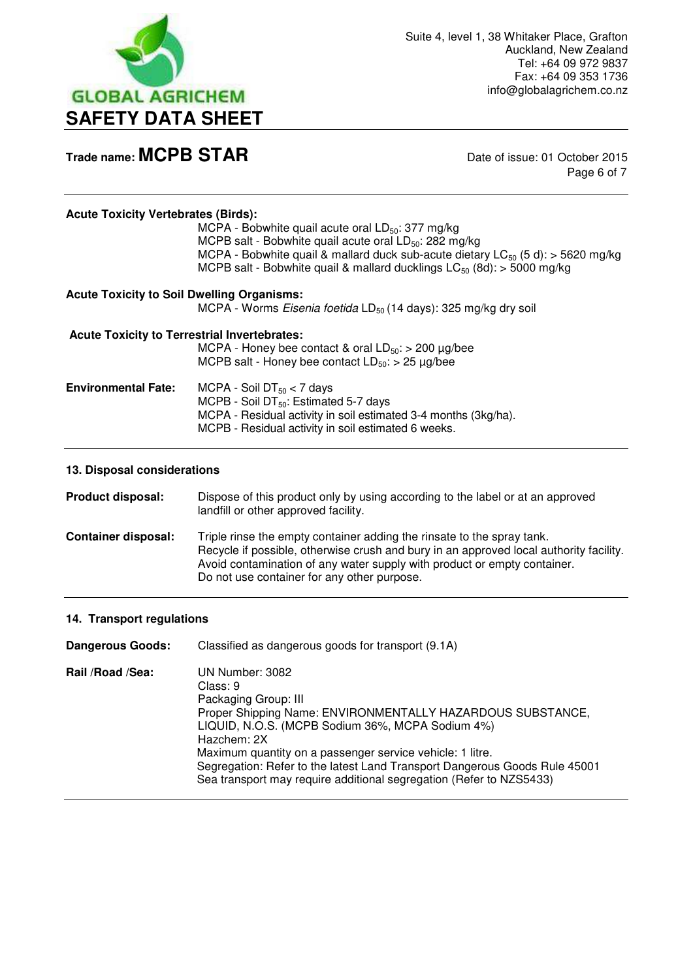

Page 6 of 7

MCPA - Bobwhite quail acute oral  $LD_{50}$ : 377 mg/kg MCPB salt - Bobwhite quail acute oral  $LD_{50}$ : 282 mg/kg MCPA - Bobwhite quail & mallard duck sub-acute dietary  $LC_{50}$  (5 d): > 5620 mg/kg MCPB salt - Bobwhite quail & mallard ducklings  $LC_{50}$  (8d): > 5000 mg/kg

| <b>Acute Toxicity to Soil Dwelling Organisms:</b>   | MCPA - Worms Eisenia foetida LD <sub>50</sub> (14 days): 325 mg/kg dry soil                                                                                                                              |
|-----------------------------------------------------|----------------------------------------------------------------------------------------------------------------------------------------------------------------------------------------------------------|
| <b>Acute Toxicity to Terrestrial Invertebrates:</b> |                                                                                                                                                                                                          |
|                                                     | MCPA - Honey bee contact & oral $LD_{50}$ : > 200 µg/bee                                                                                                                                                 |
|                                                     | MCPB salt - Honey bee contact $LD_{50}$ : > 25 µg/bee                                                                                                                                                    |
| <b>Environmental Fate:</b>                          | MCPA - Soil DT $_{50}$ < 7 days<br>MCPB - Soil DT $_{50}$ : Estimated 5-7 days<br>MCPA - Residual activity in soil estimated 3-4 months (3kg/ha).<br>MCPB - Residual activity in soil estimated 6 weeks. |

### **13. Disposal considerations**

**Product disposal:** Dispose of this product only by using according to the label or at an approved landfill or other approved facility. **Container disposal:** Triple rinse the empty container adding the rinsate to the spray tank. Recycle if possible, otherwise crush and bury in an approved local authority facility. Avoid contamination of any water supply with product or empty container. Do not use container for any other purpose.

### **14. Transport regulations**

**Dangerous Goods:** Classified as dangerous goods for transport (9.1A) **Rail /Road /Sea:** UN Number: 3082 Class: 9 Packaging Group: III Proper Shipping Name: ENVIRONMENTALLY HAZARDOUS SUBSTANCE, LIQUID, N.O.S. (MCPB Sodium 36%, MCPA Sodium 4%) Hazchem: 2X Maximum quantity on a passenger service vehicle: 1 litre. Segregation: Refer to the latest Land Transport Dangerous Goods Rule 45001 Sea transport may require additional segregation (Refer to NZS5433)